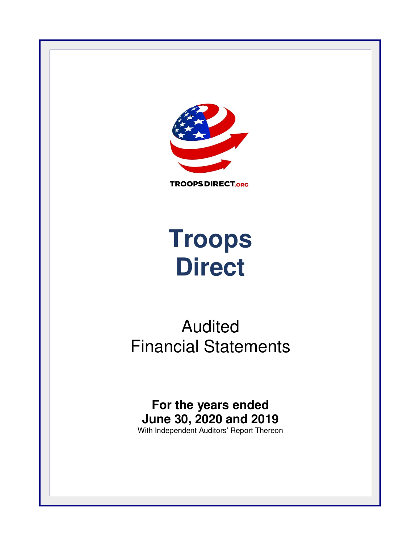

**TROOPS DIRECT.ORG** 

# **Troops Direct**

# Audited Financial Statements

# **For the years ended June 30, 2020 and 2019**

With Independent Auditors' Report Thereon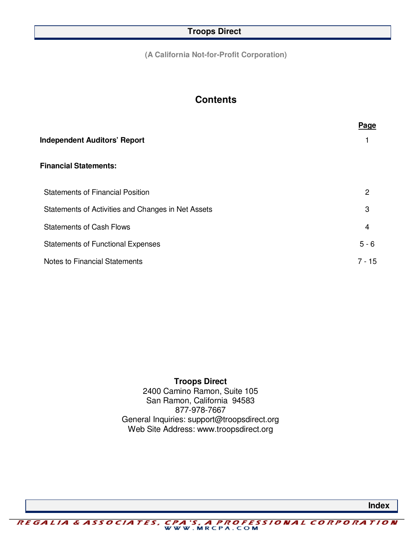**(A California Not-for-Profit Corporation)** 

# **Contents**

|                                                    | <b>Page</b> |
|----------------------------------------------------|-------------|
| <b>Independent Auditors' Report</b>                |             |
| <b>Financial Statements:</b>                       |             |
| <b>Statements of Financial Position</b>            | 2           |
| Statements of Activities and Changes in Net Assets | 3           |
| <b>Statements of Cash Flows</b>                    | 4           |
| <b>Statements of Functional Expenses</b>           | $5 - 6$     |
| Notes to Financial Statements                      | $7 - 15$    |
|                                                    |             |

# **Troops Direct**

2400 Camino Ramon, Suite 105 San Ramon, California 94583 877-978-7667 General Inquiries: support@troopsdirect.org Web Site Address: www.troopsdirect.org

*CPA 'S, A PROFESSIONAL CORPORATION*<br>WWW.MRCPA.COM REGALIA & ASSOCIATES,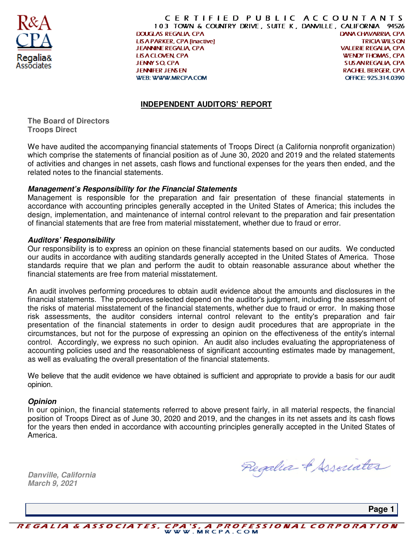

CERTIFIED PUBLIC ACCOUNTANTS 103 TOWN & COUNTRY DRIVE, SUITE K, DANVILLE, CALIFORNIA 94526 **DOUGLAS REGALIA, CPA DANA CHAVARRIA, CPA TRICIA WILS ON LISA PARKER, CPA [inactive] JEANNINE REGALIA, CPA VALERIE REGALIA, CPA WENDY THOMAS, CPA LISA CLOVEN, CPA JENNY SO, CPA SUSANREGALIA, CPA JENNIFER JENSEN RACHEL BERGER, CPA WEB: WWW.MRCPACOM** OFFICE: 925.314.0390

#### **INDEPENDENT AUDITORS' REPORT**

**The Board of Directors Troops Direct** 

We have audited the accompanying financial statements of Troops Direct (a California nonprofit organization) which comprise the statements of financial position as of June 30, 2020 and 2019 and the related statements of activities and changes in net assets, cash flows and functional expenses for the years then ended, and the related notes to the financial statements.

#### **Management's Responsibility for the Financial Statements**

Management is responsible for the preparation and fair presentation of these financial statements in accordance with accounting principles generally accepted in the United States of America; this includes the design, implementation, and maintenance of internal control relevant to the preparation and fair presentation of financial statements that are free from material misstatement, whether due to fraud or error.

#### **Auditors' Responsibility**

Our responsibility is to express an opinion on these financial statements based on our audits. We conducted our audits in accordance with auditing standards generally accepted in the United States of America. Those standards require that we plan and perform the audit to obtain reasonable assurance about whether the financial statements are free from material misstatement.

An audit involves performing procedures to obtain audit evidence about the amounts and disclosures in the financial statements. The procedures selected depend on the auditor's judgment, including the assessment of the risks of material misstatement of the financial statements, whether due to fraud or error. In making those risk assessments, the auditor considers internal control relevant to the entity's preparation and fair presentation of the financial statements in order to design audit procedures that are appropriate in the circumstances, but not for the purpose of expressing an opinion on the effectiveness of the entity's internal control. Accordingly, we express no such opinion. An audit also includes evaluating the appropriateness of accounting policies used and the reasonableness of significant accounting estimates made by management, as well as evaluating the overall presentation of the financial statements.

We believe that the audit evidence we have obtained is sufficient and appropriate to provide a basis for our audit opinion.

#### **Opinion**

In our opinion, the financial statements referred to above present fairly, in all material respects, the financial position of Troops Direct as of June 30, 2020 and 2019, and the changes in its net assets and its cash flows for the years then ended in accordance with accounting principles generally accepted in the United States of America.

**Danville, California March 9, 2021** 

Regalia & Associates

 **Page 1** 

REGALIA & ASSOCIATES, CPA'S, A PROFESSIONAL CORPORATION<br>WWW.MRCPA.COM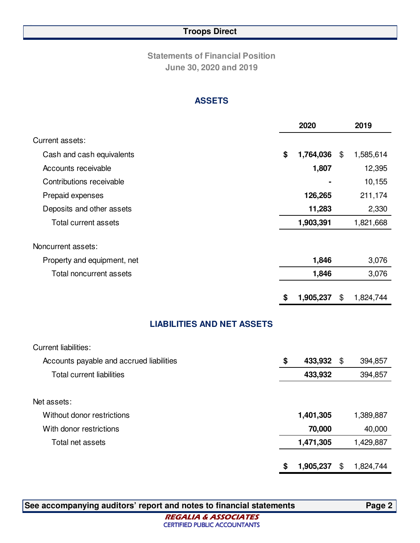**Statements of Financial Position June 30, 2020 and 2019**

#### **ASSETS**

|                                   | 2020            | 2019            |
|-----------------------------------|-----------------|-----------------|
| Current assets:                   |                 |                 |
| Cash and cash equivalents         | \$<br>1,764,036 | \$<br>1,585,614 |
| Accounts receivable               | 1,807           | 12,395          |
| Contributions receivable          |                 | 10,155          |
| Prepaid expenses                  | 126,265         | 211,174         |
| Deposits and other assets         | 11,283          | 2,330           |
| Total current assets              | 1,903,391       | 1,821,668       |
| Noncurrent assets:                |                 |                 |
| Property and equipment, net       | 1,846           | 3,076           |
| Total noncurrent assets           | 1,846           | 3,076           |
|                                   | \$<br>1,905,237 | \$<br>1,824,744 |
| <b>LIABILITIES AND NET ASSETS</b> |                 |                 |

| <b>Current liabilities:</b>              |                 |                 |
|------------------------------------------|-----------------|-----------------|
| Accounts payable and accrued liabilities | \$<br>433,932   | \$<br>394,857   |
| <b>Total current liabilities</b>         | 433,932         | 394,857         |
|                                          |                 |                 |
| Net assets:                              |                 |                 |
| Without donor restrictions               | 1,401,305       | 1,389,887       |
| With donor restrictions                  | 70,000          | 40,000          |
| Total net assets                         | 1,471,305       | 1,429,887       |
|                                          |                 |                 |
|                                          | \$<br>1,905,237 | \$<br>1,824,744 |

**See accompanying auditors' report and notes to financial statements Page 2** 

**REGALIA & ASSOCIATES CERTIFIED PUBLIC ACCOUNTANTS**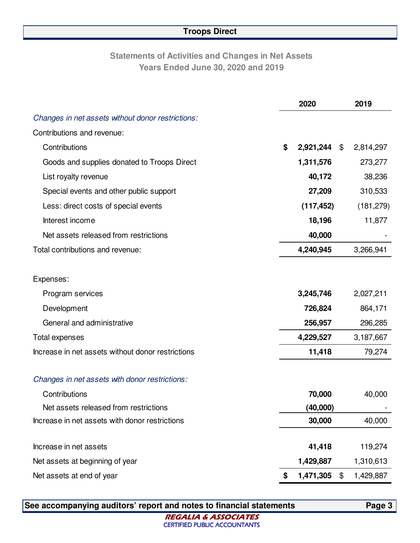# **Statements of Activities and Changes in Net Assets Years Ended June 30, 2020 and 2019**

|                                                   | 2020            |                | 2019       |
|---------------------------------------------------|-----------------|----------------|------------|
| Changes in net assets without donor restrictions: |                 |                |            |
| Contributions and revenue:                        |                 |                |            |
| Contributions                                     | \$<br>2,921,244 | $\mathfrak{P}$ | 2,814,297  |
| Goods and supplies donated to Troops Direct       | 1,311,576       |                | 273,277    |
| List royalty revenue                              | 40,172          |                | 38,236     |
| Special events and other public support           | 27,209          |                | 310,533    |
| Less: direct costs of special events              | (117, 452)      |                | (181, 279) |
| Interest income                                   | 18,196          |                | 11,877     |
| Net assets released from restrictions             | 40,000          |                |            |
| Total contributions and revenue:                  | 4,240,945       |                | 3,266,941  |
|                                                   |                 |                |            |
| Expenses:                                         |                 |                |            |
| Program services                                  | 3,245,746       |                | 2,027,211  |
| Development                                       | 726,824         |                | 864,171    |
| General and administrative                        | 256,957         |                | 296,285    |
| Total expenses                                    | 4,229,527       |                | 3,187,667  |
| Increase in net assets without donor restrictions | 11,418          |                | 79,274     |
|                                                   |                 |                |            |
| Changes in net assets with donor restrictions:    |                 |                |            |
| Contributions                                     | 70,000          |                | 40,000     |
| Net assets released from restrictions             | (40,000)        |                |            |
| Increase in net assets with donor restrictions    | 30,000          |                | 40,000     |
|                                                   |                 |                |            |
| Increase in net assets                            | 41,418          |                | 119,274    |
| Net assets at beginning of year                   | 1,429,887       |                | 1,310,613  |
| Net assets at end of year                         | \$<br>1,471,305 | $\$\$          | 1,429,887  |

**See accompanying auditors' report and notes to financial statements Page 3** 

**REGALIA & ASSOCIATES CERTIFIED PUBLIC ACCOUNTANTS**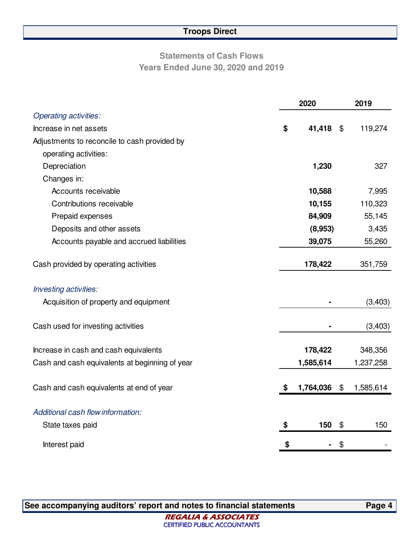# **Statements of Cash Flows Years Ended June 30, 2020 and 2019**

|                                                | 2020 |           |                | 2019      |
|------------------------------------------------|------|-----------|----------------|-----------|
| <b>Operating activities:</b>                   |      |           |                |           |
| Increase in net assets                         | \$   | 41,418    | $\mathfrak{F}$ | 119,274   |
| Adjustments to reconcile to cash provided by   |      |           |                |           |
| operating activities:                          |      |           |                |           |
| Depreciation                                   |      | 1,230     |                | 327       |
| Changes in:                                    |      |           |                |           |
| Accounts receivable                            |      | 10,588    |                | 7,995     |
| Contributions receivable                       |      | 10,155    |                | 110,323   |
| Prepaid expenses                               |      | 84,909    |                | 55,145    |
| Deposits and other assets                      |      | (8,953)   |                | 3,435     |
| Accounts payable and accrued liabilities       |      | 39,075    |                | 55,260    |
|                                                |      |           |                |           |
| Cash provided by operating activities          |      | 178,422   |                | 351,759   |
|                                                |      |           |                |           |
| Investing activities:                          |      |           |                |           |
| Acquisition of property and equipment          |      |           |                | (3, 403)  |
|                                                |      |           |                |           |
| Cash used for investing activities             |      |           |                | (3,403)   |
| Increase in cash and cash equivalents          |      | 178,422   |                | 348,356   |
| Cash and cash equivalents at beginning of year |      | 1,585,614 |                | 1,237,258 |
|                                                |      |           |                |           |
| Cash and cash equivalents at end of year       | S    | 1,764,036 | $\$\$          | 1,585,614 |
|                                                |      |           |                |           |
| Additional cash flow information:              |      |           |                |           |
| State taxes paid                               | \$   | 150       | \$             | 150       |
| Interest paid                                  | \$   |           | \$             |           |

**See accompanying auditors' report and notes to financial statements Page 4**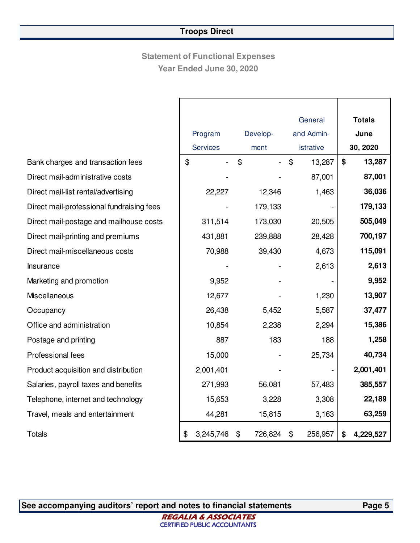# **Statement of Functional Expenses Year Ended June 30, 2020**

|                                           |                            |               | General       | <b>Totals</b>   |
|-------------------------------------------|----------------------------|---------------|---------------|-----------------|
|                                           | Program                    | Develop-      | and Admin-    | June            |
|                                           | <b>Services</b>            | ment          | istrative     | 30, 2020        |
| Bank charges and transaction fees         | $\boldsymbol{\mathsf{\$}}$ | \$            | \$<br>13,287  | \$<br>13,287    |
| Direct mail-administrative costs          |                            |               | 87,001        | 87,001          |
| Direct mail-list rental/advertising       | 22,227                     | 12,346        | 1,463         | 36,036          |
| Direct mail-professional fundraising fees |                            | 179,133       |               | 179,133         |
| Direct mail-postage and mailhouse costs   | 311,514                    | 173,030       | 20,505        | 505,049         |
| Direct mail-printing and premiums         | 431,881                    | 239,888       | 28,428        | 700,197         |
| Direct mail-miscellaneous costs           | 70,988                     | 39,430        | 4,673         | 115,091         |
| Insurance                                 |                            |               | 2,613         | 2,613           |
| Marketing and promotion                   | 9,952                      |               |               | 9,952           |
| Miscellaneous                             | 12,677                     |               | 1,230         | 13,907          |
| Occupancy                                 | 26,438                     | 5,452         | 5,587         | 37,477          |
| Office and administration                 | 10,854                     | 2,238         | 2,294         | 15,386          |
| Postage and printing                      | 887                        | 183           | 188           | 1,258           |
| <b>Professional fees</b>                  | 15,000                     |               | 25,734        | 40,734          |
| Product acquisition and distribution      | 2,001,401                  |               |               | 2,001,401       |
| Salaries, payroll taxes and benefits      | 271,993                    | 56,081        | 57,483        | 385,557         |
| Telephone, internet and technology        | 15,653                     | 3,228         | 3,308         | 22,189          |
| Travel, meals and entertainment           | 44,281                     | 15,815        | 3,163         | 63,259          |
| <b>Totals</b>                             | \$<br>3,245,746            | 726,824<br>\$ | \$<br>256,957 | 4,229,527<br>\$ |

**See accompanying auditors' report and notes to financial statements Page 5** 

**REGALIA & ASSOCIATES CERTIFIED PUBLIC ACCOUNTANTS**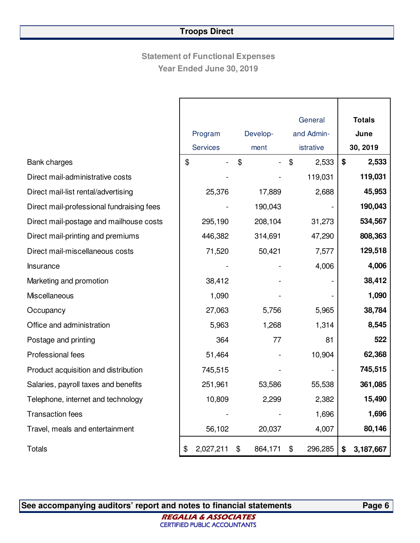# **Statement of Functional Expenses Year Ended June 30, 2019**

|                                           |                 |               |            | General   |      | <b>Totals</b> |
|-------------------------------------------|-----------------|---------------|------------|-----------|------|---------------|
|                                           | Program         | Develop-      | and Admin- |           | June |               |
|                                           | <b>Services</b> | ment          |            | istrative |      | 30, 2019      |
| Bank charges                              | \$              | \$            | \$         | 2,533     | \$   | 2,533         |
| Direct mail-administrative costs          |                 |               |            | 119,031   |      | 119,031       |
| Direct mail-list rental/advertising       | 25,376          | 17,889        |            | 2,688     |      | 45,953        |
| Direct mail-professional fundraising fees |                 | 190,043       |            |           |      | 190,043       |
| Direct mail-postage and mailhouse costs   | 295,190         | 208,104       |            | 31,273    |      | 534,567       |
| Direct mail-printing and premiums         | 446,382         | 314,691       |            | 47,290    |      | 808,363       |
| Direct mail-miscellaneous costs           | 71,520          | 50,421        |            | 7,577     |      | 129,518       |
| Insurance                                 |                 |               |            | 4,006     |      | 4,006         |
| Marketing and promotion                   | 38,412          |               |            |           |      | 38,412        |
| Miscellaneous                             | 1,090           |               |            |           |      | 1,090         |
| Occupancy                                 | 27,063          | 5,756         |            | 5,965     |      | 38,784        |
| Office and administration                 | 5,963           | 1,268         |            | 1,314     |      | 8,545         |
| Postage and printing                      | 364             | 77            |            | 81        |      | 522           |
| Professional fees                         | 51,464          |               |            | 10,904    |      | 62,368        |
| Product acquisition and distribution      | 745,515         |               |            |           |      | 745,515       |
| Salaries, payroll taxes and benefits      | 251,961         | 53,586        |            | 55,538    |      | 361,085       |
| Telephone, internet and technology        | 10,809          | 2,299         |            | 2,382     |      | 15,490        |
| <b>Transaction fees</b>                   |                 |               |            | 1,696     |      | 1,696         |
| Travel, meals and entertainment           | 56,102          | 20,037        |            | 4,007     |      | 80,146        |
| Totals                                    | \$<br>2,027,211 | \$<br>864,171 | \$         | 296,285   | \$   | 3,187,667     |

See accompanying auditors' report and notes to financial statements **Page 6**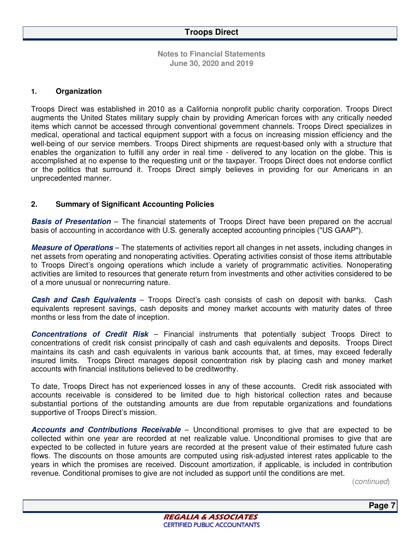#### **1. Organization**

Troops Direct was established in 2010 as a California nonprofit public charity corporation. Troops Direct augments the United States military supply chain by providing American forces with any critically needed items which cannot be accessed through conventional government channels. Troops Direct specializes in medical, operational and tactical equipment support with a focus on increasing mission efficiency and the well-being of our service members. Troops Direct shipments are request-based only with a structure that enables the organization to fulfill any order in real time - delivered to any location on the globe. This is accomplished at no expense to the requesting unit or the taxpayer. Troops Direct does not endorse conflict or the politics that surround it. Troops Direct simply believes in providing for our Americans in an unprecedented manner.

#### **2. Summary of Significant Accounting Policies**

**Basis of Presentation** – The financial statements of Troops Direct have been prepared on the accrual basis of accounting in accordance with U.S. generally accepted accounting principles ("US GAAP").

**Measure of Operations** – The statements of activities report all changes in net assets, including changes in net assets from operating and nonoperating activities. Operating activities consist of those items attributable to Troops Direct's ongoing operations which include a variety of programmatic activities. Nonoperating activities are limited to resources that generate return from investments and other activities considered to be of a more unusual or nonrecurring nature.

**Cash and Cash Equivalents** – Troops Direct's cash consists of cash on deposit with banks. Cash equivalents represent savings, cash deposits and money market accounts with maturity dates of three months or less from the date of inception.

**Concentrations of Credit Risk** – Financial instruments that potentially subject Troops Direct to concentrations of credit risk consist principally of cash and cash equivalents and deposits. Troops Direct maintains its cash and cash equivalents in various bank accounts that, at times, may exceed federally insured limits. Troops Direct manages deposit concentration risk by placing cash and money market accounts with financial institutions believed to be creditworthy.

To date, Troops Direct has not experienced losses in any of these accounts. Credit risk associated with accounts receivable is considered to be limited due to high historical collection rates and because substantial portions of the outstanding amounts are due from reputable organizations and foundations supportive of Troops Direct's mission.

**Accounts and Contributions Receivable** – Unconditional promises to give that are expected to be collected within one year are recorded at net realizable value. Unconditional promises to give that are expected to be collected in future years are recorded at the present value of their estimated future cash flows. The discounts on those amounts are computed using risk-adjusted interest rates applicable to the years in which the promises are received. Discount amortization, if applicable, is included in contribution revenue. Conditional promises to give are not included as support until the conditions are met.

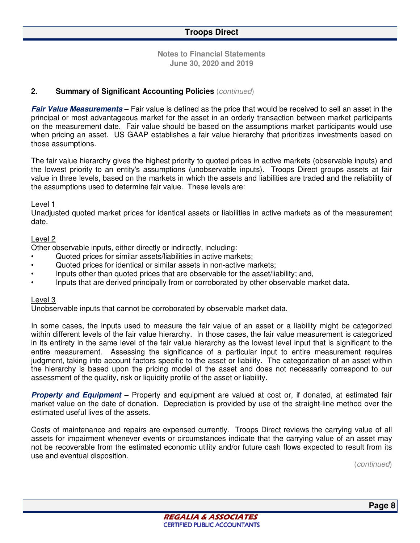#### **2. Summary of Significant Accounting Policies** (*continued*)

**Fair Value Measurements** – Fair value is defined as the price that would be received to sell an asset in the principal or most advantageous market for the asset in an orderly transaction between market participants on the measurement date. Fair value should be based on the assumptions market participants would use when pricing an asset. US GAAP establishes a fair value hierarchy that prioritizes investments based on those assumptions.

The fair value hierarchy gives the highest priority to quoted prices in active markets (observable inputs) and the lowest priority to an entity's assumptions (unobservable inputs). Troops Direct groups assets at fair value in three levels, based on the markets in which the assets and liabilities are traded and the reliability of the assumptions used to determine fair value. These levels are:

#### Level 1

Unadjusted quoted market prices for identical assets or liabilities in active markets as of the measurement date.

#### Level 2

Other observable inputs, either directly or indirectly, including:

- Quoted prices for similar assets/liabilities in active markets;
- Quoted prices for identical or similar assets in non-active markets;
- Inputs other than quoted prices that are observable for the asset/liability; and,
- Inputs that are derived principally from or corroborated by other observable market data.

#### Level 3

Unobservable inputs that cannot be corroborated by observable market data.

In some cases, the inputs used to measure the fair value of an asset or a liability might be categorized within different levels of the fair value hierarchy. In those cases, the fair value measurement is categorized in its entirety in the same level of the fair value hierarchy as the lowest level input that is significant to the entire measurement. Assessing the significance of a particular input to entire measurement requires judgment, taking into account factors specific to the asset or liability. The categorization of an asset within the hierarchy is based upon the pricing model of the asset and does not necessarily correspond to our assessment of the quality, risk or liquidity profile of the asset or liability.

**Property and Equipment** – Property and equipment are valued at cost or, if donated, at estimated fair market value on the date of donation. Depreciation is provided by use of the straight-line method over the estimated useful lives of the assets.

Costs of maintenance and repairs are expensed currently. Troops Direct reviews the carrying value of all assets for impairment whenever events or circumstances indicate that the carrying value of an asset may not be recoverable from the estimated economic utility and/or future cash flows expected to result from its use and eventual disposition.

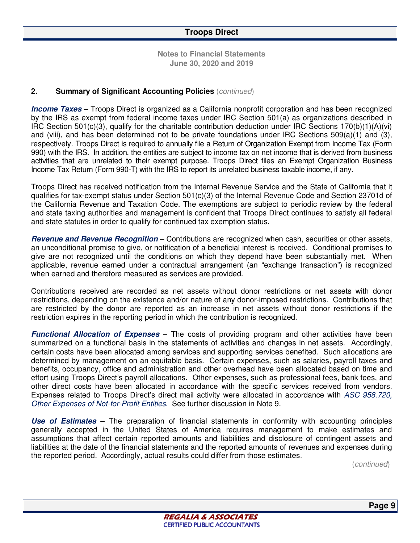#### **2. Summary of Significant Accounting Policies** (*continued*)

**Income Taxes** – Troops Direct is organized as a California nonprofit corporation and has been recognized by the IRS as exempt from federal income taxes under IRC Section 501(a) as organizations described in IRC Section 501(c)(3), qualify for the charitable contribution deduction under IRC Sections  $170(b)(1)(A)(vi)$ and (viii), and has been determined not to be private foundations under IRC Sections 509(a)(1) and (3), respectively. Troops Direct is required to annually file a Return of Organization Exempt from Income Tax (Form 990) with the IRS. In addition, the entities are subject to income tax on net income that is derived from business activities that are unrelated to their exempt purpose. Troops Direct files an Exempt Organization Business Income Tax Return (Form 990-T) with the IRS to report its unrelated business taxable income, if any.

Troops Direct has received notification from the Internal Revenue Service and the State of California that it qualifies for tax-exempt status under Section 501(c)(3) of the Internal Revenue Code and Section 23701d of the California Revenue and Taxation Code. The exemptions are subject to periodic review by the federal and state taxing authorities and management is confident that Troops Direct continues to satisfy all federal and state statutes in order to qualify for continued tax exemption status.

**Revenue and Revenue Recognition** – Contributions are recognized when cash, securities or other assets, an unconditional promise to give, or notification of a beneficial interest is received. Conditional promises to give are not recognized until the conditions on which they depend have been substantially met. When applicable, revenue earned under a contractual arrangement (an "exchange transaction") is recognized when earned and therefore measured as services are provided.

Contributions received are recorded as net assets without donor restrictions or net assets with donor restrictions, depending on the existence and/or nature of any donor-imposed restrictions. Contributions that are restricted by the donor are reported as an increase in net assets without donor restrictions if the restriction expires in the reporting period in which the contribution is recognized.

**Functional Allocation of Expenses** – The costs of providing program and other activities have been summarized on a functional basis in the statements of activities and changes in net assets. Accordingly, certain costs have been allocated among services and supporting services benefited. Such allocations are determined by management on an equitable basis. Certain expenses, such as salaries, payroll taxes and benefits, occupancy, office and administration and other overhead have been allocated based on time and effort using Troops Direct's payroll allocations. Other expenses, such as professional fees, bank fees, and other direct costs have been allocated in accordance with the specific services received from vendors. Expenses related to Troops Direct's direct mail activity were allocated in accordance with *ASC 958.720, Other Expenses of Not-for-Profit Entities.* See further discussion in Note 9.

**Use of Estimates** – The preparation of financial statements in conformity with accounting principles generally accepted in the United States of America requires management to make estimates and assumptions that affect certain reported amounts and liabilities and disclosure of contingent assets and liabilities at the date of the financial statements and the reported amounts of revenues and expenses during the reported period. Accordingly, actual results could differ from those estimates*.*

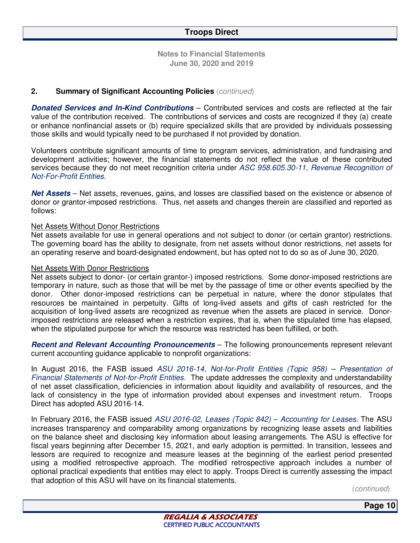#### **2. Summary of Significant Accounting Policies** (*continued*)

**Donated Services and In-Kind Contributions** – Contributed services and costs are reflected at the fair value of the contribution received. The contributions of services and costs are recognized if they (a) create or enhance nonfinancial assets or (b) require specialized skills that are provided by individuals possessing those skills and would typically need to be purchased if not provided by donation.

Volunteers contribute significant amounts of time to program services, administration, and fundraising and development activities; however, the financial statements do not reflect the value of these contributed services because they do not meet recognition criteria under *ASC 958.605.30-11, Revenue Recognition of Not-For-Profit Entities.* 

**Net Assets** – Net assets, revenues, gains, and losses are classified based on the existence or absence of donor or grantor-imposed restrictions. Thus, net assets and changes therein are classified and reported as follows:

#### Net Assets Without Donor Restrictions

Net assets available for use in general operations and not subject to donor (or certain grantor) restrictions. The governing board has the ability to designate, from net assets without donor restrictions, net assets for an operating reserve and board-designated endowment, but has opted not to do so as of June 30, 2020.

#### Net Assets With Donor Restrictions

Net assets subject to donor- (or certain grantor-) imposed restrictions. Some donor-imposed restrictions are temporary in nature, such as those that will be met by the passage of time or other events specified by the donor. Other donor-imposed restrictions can be perpetual in nature, where the donor stipulates that resources be maintained in perpetuity. Gifts of long-lived assets and gifts of cash restricted for the acquisition of long-lived assets are recognized as revenue when the assets are placed in service. Donorimposed restrictions are released when a restriction expires, that is, when the stipulated time has elapsed, when the stipulated purpose for which the resource was restricted has been fulfilled, or both.

**Recent and Relevant Accounting Pronouncements** – The following pronouncements represent relevant current accounting guidance applicable to nonprofit organizations:

In August 2016, the FASB issued *ASU 2016-14, Not-for-Profit Entities (Topic 958) – Presentation of Financial Statements of Not-for-Profit Entities*. The update addresses the complexity and understandability of net asset classification, deficiencies in information about liquidity and availability of resources, and the lack of consistency in the type of information provided about expenses and investment return. Troops Direct has adopted ASU 2016-14.

In February 2016, the FASB issued *ASU 2016-02, Leases (Topic 842)* – *Accounting for Leases*. The ASU increases transparency and comparability among organizations by recognizing lease assets and liabilities on the balance sheet and disclosing key information about leasing arrangements. The ASU is effective for fiscal years beginning after December 15, 2021, and early adoption is permitted. In transition, lessees and lessors are required to recognize and measure leases at the beginning of the earliest period presented using a modified retrospective approach. The modified retrospective approach includes a number of optional practical expedients that entities may elect to apply. Troops Direct is currently assessing the impact that adoption of this ASU will have on its financial statements.

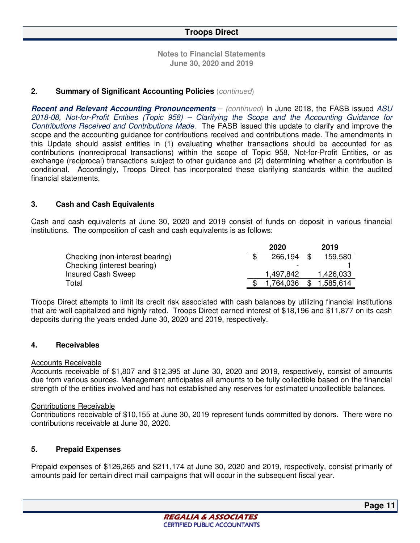**Notes to Financial Statements June 30, 2020 and 2019** 

#### **2. Summary of Significant Accounting Policies** (*continued*)

**Recent and Relevant Accounting Pronouncements** – *(continued*) In June 2018, the FASB issued *ASU 2018-08, Not-for-Profit Entities (Topic 958) – Clarifying the Scope and the Accounting Guidance for Contributions Received and Contributions Made*. The FASB issued this update to clarify and improve the scope and the accounting guidance for contributions received and contributions made. The amendments in this Update should assist entities in (1) evaluating whether transactions should be accounted for as contributions (nonreciprocal transactions) within the scope of Topic 958, Not-for-Profit Entities, or as exchange (reciprocal) transactions subject to other guidance and (2) determining whether a contribution is conditional. Accordingly, Troops Direct has incorporated these clarifying standards within the audited financial statements.

#### **3. Cash and Cash Equivalents**

Cash and cash equivalents at June 30, 2020 and 2019 consist of funds on deposit in various financial institutions. The composition of cash and cash equivalents is as follows:

|                                 | 2020         | 2019      |
|---------------------------------|--------------|-----------|
| Checking (non-interest bearing) | 266,194 \$   | 159,580   |
| Checking (interest bearing)     |              |           |
| <b>Insured Cash Sweep</b>       | 1,497,842    | 1,426,033 |
| Total                           | 1,764,036 \$ | 1,585,614 |

Troops Direct attempts to limit its credit risk associated with cash balances by utilizing financial institutions that are well capitalized and highly rated. Troops Direct earned interest of \$18,196 and \$11,877 on its cash deposits during the years ended June 30, 2020 and 2019, respectively.

#### **4. Receivables**

#### Accounts Receivable

Accounts receivable of \$1,807 and \$12,395 at June 30, 2020 and 2019, respectively, consist of amounts due from various sources. Management anticipates all amounts to be fully collectible based on the financial strength of the entities involved and has not established any reserves for estimated uncollectible balances.

#### Contributions Receivable

Contributions receivable of \$10,155 at June 30, 2019 represent funds committed by donors. There were no contributions receivable at June 30, 2020.

#### **5. Prepaid Expenses**

Prepaid expenses of \$126,265 and \$211,174 at June 30, 2020 and 2019, respectively, consist primarily of amounts paid for certain direct mail campaigns that will occur in the subsequent fiscal year.

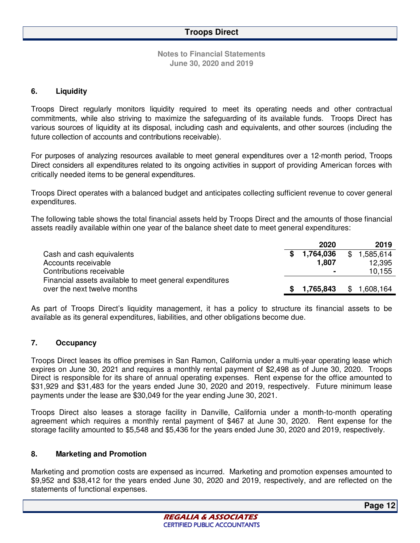#### **6. Liquidity**

Troops Direct regularly monitors liquidity required to meet its operating needs and other contractual commitments, while also striving to maximize the safeguarding of its available funds. Troops Direct has various sources of liquidity at its disposal, including cash and equivalents, and other sources (including the future collection of accounts and contributions receivable).

For purposes of analyzing resources available to meet general expenditures over a 12-month period, Troops Direct considers all expenditures related to its ongoing activities in support of providing American forces with critically needed items to be general expenditures.

Troops Direct operates with a balanced budget and anticipates collecting sufficient revenue to cover general expenditures.

The following table shows the total financial assets held by Troops Direct and the amounts of those financial assets readily available within one year of the balance sheet date to meet general expenditures:

|                                                         |    | 2020      | 2019      |
|---------------------------------------------------------|----|-----------|-----------|
| Cash and cash equivalents                               | S. | 1,764,036 | 1,585,614 |
| Accounts receivable                                     |    | 1,807     | 12,395    |
| Contributions receivable                                |    |           | 10,155    |
| Financial assets available to meet general expenditures |    |           |           |
| over the next twelve months                             |    | 1,765,843 | 1,608,164 |

As part of Troops Direct's liquidity management, it has a policy to structure its financial assets to be available as its general expenditures, liabilities, and other obligations become due.

#### **7. Occupancy**

Troops Direct leases its office premises in San Ramon, California under a multi-year operating lease which expires on June 30, 2021 and requires a monthly rental payment of \$2,498 as of June 30, 2020. Troops Direct is responsible for its share of annual operating expenses. Rent expense for the office amounted to \$31,929 and \$31,483 for the years ended June 30, 2020 and 2019, respectively. Future minimum lease payments under the lease are \$30,049 for the year ending June 30, 2021.

Troops Direct also leases a storage facility in Danville, California under a month-to-month operating agreement which requires a monthly rental payment of \$467 at June 30, 2020. Rent expense for the storage facility amounted to \$5,548 and \$5,436 for the years ended June 30, 2020 and 2019, respectively.

#### **8. Marketing and Promotion**

Marketing and promotion costs are expensed as incurred. Marketing and promotion expenses amounted to \$9,952 and \$38,412 for the years ended June 30, 2020 and 2019, respectively, and are reflected on the statements of functional expenses.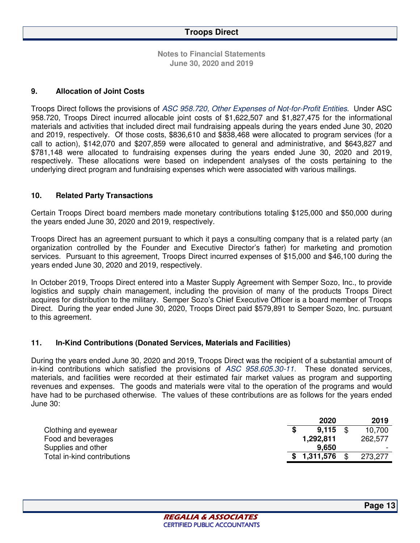**Notes to Financial Statements June 30, 2020 and 2019** 

#### **9. Allocation of Joint Costs**

Troops Direct follows the provisions of *ASC 958.720, Other Expenses of Not-for-Profit Entities.* Under ASC 958.720, Troops Direct incurred allocable joint costs of \$1,622,507 and \$1,827,475 for the informational materials and activities that included direct mail fundraising appeals during the years ended June 30, 2020 and 2019, respectively. Of those costs, \$836,610 and \$838,468 were allocated to program services (for a call to action), \$142,070 and \$207,859 were allocated to general and administrative, and \$643,827 and \$781,148 were allocated to fundraising expenses during the years ended June 30, 2020 and 2019, respectively. These allocations were based on independent analyses of the costs pertaining to the underlying direct program and fundraising expenses which were associated with various mailings.

#### **10. Related Party Transactions**

Certain Troops Direct board members made monetary contributions totaling \$125,000 and \$50,000 during the years ended June 30, 2020 and 2019, respectively.

Troops Direct has an agreement pursuant to which it pays a consulting company that is a related party (an organization controlled by the Founder and Executive Director's father) for marketing and promotion services. Pursuant to this agreement, Troops Direct incurred expenses of \$15,000 and \$46,100 during the years ended June 30, 2020 and 2019, respectively.

In October 2019, Troops Direct entered into a Master Supply Agreement with Semper Sozo, Inc., to provide logistics and supply chain management, including the provision of many of the products Troops Direct acquires for distribution to the military. Semper Sozo's Chief Executive Officer is a board member of Troops Direct. During the year ended June 30, 2020, Troops Direct paid \$579,891 to Semper Sozo, Inc. pursuant to this agreement.

#### **11. In-Kind Contributions (Donated Services, Materials and Facilities)**

During the years ended June 30, 2020 and 2019, Troops Direct was the recipient of a substantial amount of in-kind contributions which satisfied the provisions of *ASC 958.605.30-11.* These donated services, materials, and facilities were recorded at their estimated fair market values as program and supporting revenues and expenses. The goods and materials were vital to the operation of the programs and would have had to be purchased otherwise. The values of these contributions are as follows for the years ended June 30:

|                             |    | 2020      | 2019    |
|-----------------------------|----|-----------|---------|
| Clothing and eyewear        |    | 9.115     | 10,700  |
| Food and beverages          |    | 1,292,811 | 262,577 |
| Supplies and other          |    | 9.650     |         |
| Total in-kind contributions | S. | 1,311,576 | 273.277 |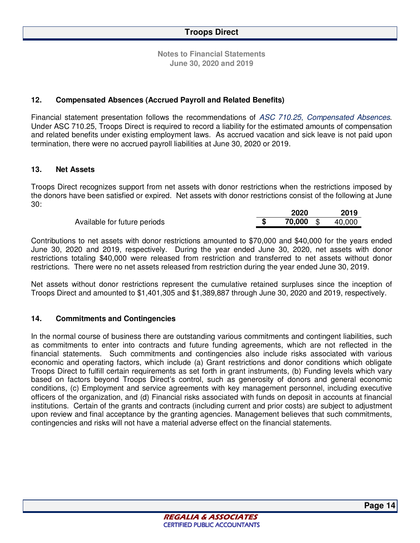#### **12. Compensated Absences (Accrued Payroll and Related Benefits)**

Financial statement presentation follows the recommendations of *ASC 710.25*, *Compensated Absences*. Under ASC 710.25, Troops Direct is required to record a liability for the estimated amounts of compensation and related benefits under existing employment laws. As accrued vacation and sick leave is not paid upon termination, there were no accrued payroll liabilities at June 30, 2020 or 2019.

#### **13. Net Assets**

Troops Direct recognizes support from net assets with donor restrictions when the restrictions imposed by the donors have been satisfied or expired. Net assets with donor restrictions consist of the following at June 30:

|           | 2019   |
|-----------|--------|
| 70,000 \$ | 40,000 |
|           | 2020   |

Contributions to net assets with donor restrictions amounted to \$70,000 and \$40,000 for the years ended June 30, 2020 and 2019, respectively. During the year ended June 30, 2020, net assets with donor restrictions totaling \$40,000 were released from restriction and transferred to net assets without donor restrictions. There were no net assets released from restriction during the year ended June 30, 2019.

Net assets without donor restrictions represent the cumulative retained surpluses since the inception of Troops Direct and amounted to \$1,401,305 and \$1,389,887 through June 30, 2020 and 2019, respectively.

#### **14. Commitments and Contingencies**

In the normal course of business there are outstanding various commitments and contingent liabilities, such as commitments to enter into contracts and future funding agreements, which are not reflected in the financial statements. Such commitments and contingencies also include risks associated with various economic and operating factors, which include (a) Grant restrictions and donor conditions which obligate Troops Direct to fulfill certain requirements as set forth in grant instruments, (b) Funding levels which vary based on factors beyond Troops Direct's control, such as generosity of donors and general economic conditions, (c) Employment and service agreements with key management personnel, including executive officers of the organization, and (d) Financial risks associated with funds on deposit in accounts at financial institutions. Certain of the grants and contracts (including current and prior costs) are subject to adjustment upon review and final acceptance by the granting agencies. Management believes that such commitments, contingencies and risks will not have a material adverse effect on the financial statements.